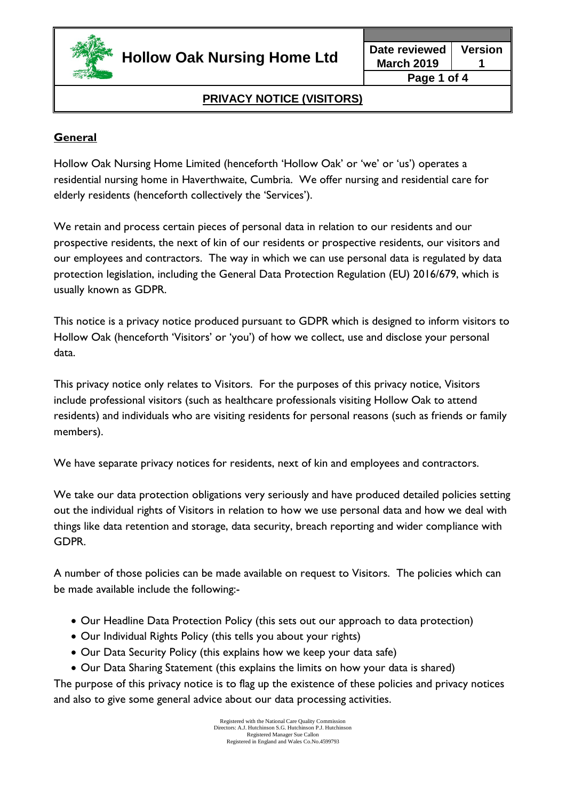

**March 2019 Version 1 Page 1 of 4**

# **PRIVACY NOTICE (VISITORS)**

### **General**

Hollow Oak Nursing Home Limited (henceforth 'Hollow Oak' or 'we' or 'us') operates a residential nursing home in Haverthwaite, Cumbria. We offer nursing and residential care for elderly residents (henceforth collectively the 'Services').

We retain and process certain pieces of personal data in relation to our residents and our prospective residents, the next of kin of our residents or prospective residents, our visitors and our employees and contractors. The way in which we can use personal data is regulated by data protection legislation, including the General Data Protection Regulation (EU) 2016/679, which is usually known as GDPR.

This notice is a privacy notice produced pursuant to GDPR which is designed to inform visitors to Hollow Oak (henceforth 'Visitors' or 'you') of how we collect, use and disclose your personal data.

This privacy notice only relates to Visitors. For the purposes of this privacy notice, Visitors include professional visitors (such as healthcare professionals visiting Hollow Oak to attend residents) and individuals who are visiting residents for personal reasons (such as friends or family members).

We have separate privacy notices for residents, next of kin and employees and contractors.

We take our data protection obligations very seriously and have produced detailed policies setting out the individual rights of Visitors in relation to how we use personal data and how we deal with things like data retention and storage, data security, breach reporting and wider compliance with GDPR.

A number of those policies can be made available on request to Visitors. The policies which can be made available include the following:-

- Our Headline Data Protection Policy (this sets out our approach to data protection)
- Our Individual Rights Policy (this tells you about your rights)
- Our Data Security Policy (this explains how we keep your data safe)
- Our Data Sharing Statement (this explains the limits on how your data is shared)

The purpose of this privacy notice is to flag up the existence of these policies and privacy notices and also to give some general advice about our data processing activities.

> Registered with the National Care Quality Commission Directors: A.J. Hutchinson S.G. Hutchinson P.J. Hutchinson Registered Manager Sue Callon Registered in England and Wales Co.No.4599793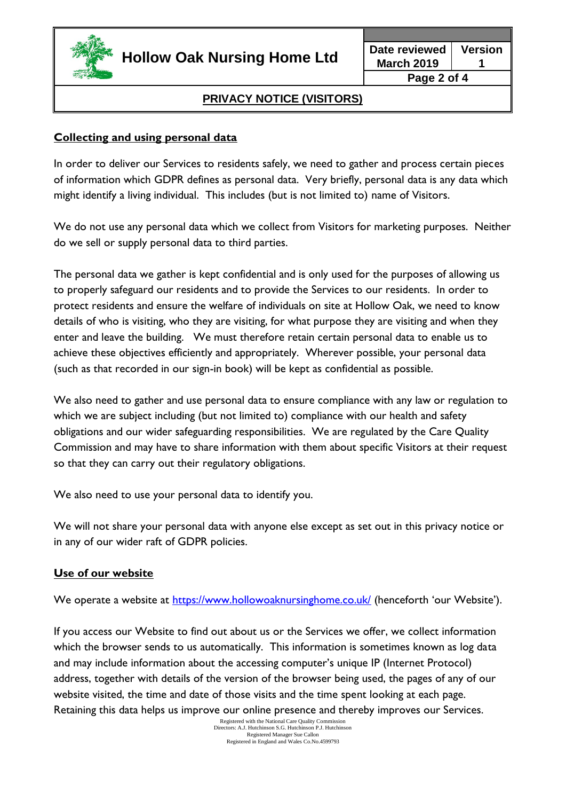

# **PRIVACY NOTICE (VISITORS)**

#### **Collecting and using personal data**

In order to deliver our Services to residents safely, we need to gather and process certain pieces of information which GDPR defines as personal data. Very briefly, personal data is any data which might identify a living individual. This includes (but is not limited to) name of Visitors.

We do not use any personal data which we collect from Visitors for marketing purposes. Neither do we sell or supply personal data to third parties.

The personal data we gather is kept confidential and is only used for the purposes of allowing us to properly safeguard our residents and to provide the Services to our residents. In order to protect residents and ensure the welfare of individuals on site at Hollow Oak, we need to know details of who is visiting, who they are visiting, for what purpose they are visiting and when they enter and leave the building. We must therefore retain certain personal data to enable us to achieve these objectives efficiently and appropriately. Wherever possible, your personal data (such as that recorded in our sign-in book) will be kept as confidential as possible.

We also need to gather and use personal data to ensure compliance with any law or regulation to which we are subject including (but not limited to) compliance with our health and safety obligations and our wider safeguarding responsibilities. We are regulated by the Care Quality Commission and may have to share information with them about specific Visitors at their request so that they can carry out their regulatory obligations.

We also need to use your personal data to identify you.

We will not share your personal data with anyone else except as set out in this privacy notice or in any of our wider raft of GDPR policies.

#### **Use of our website**

We operate a website at<https://www.hollowoaknursinghome.co.uk/> (henceforth 'our Website').

If you access our Website to find out about us or the Services we offer, we collect information which the browser sends to us automatically. This information is sometimes known as log data and may include information about the accessing computer's unique IP (Internet Protocol) address, together with details of the version of the browser being used, the pages of any of our website visited, the time and date of those visits and the time spent looking at each page. Retaining this data helps us improve our online presence and thereby improves our Services.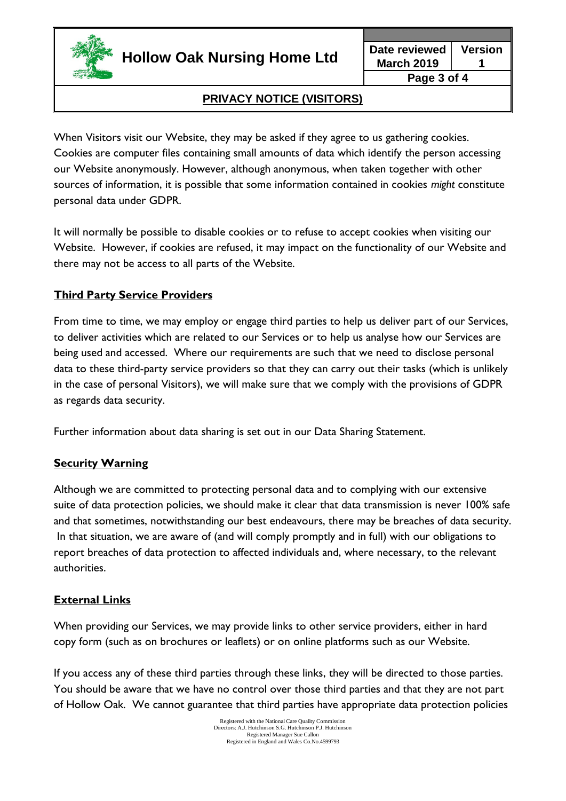

**Hollow Oak Nursing Home Ltd Date reviewed**

**March 2019 Version 1 Page 3 of 4**

# **PRIVACY NOTICE (VISITORS)**

When Visitors visit our Website, they may be asked if they agree to us gathering cookies. Cookies are computer files containing small amounts of data which identify the person accessing our Website anonymously. However, although anonymous, when taken together with other sources of information, it is possible that some information contained in cookies *might* constitute personal data under GDPR.

It will normally be possible to disable cookies or to refuse to accept cookies when visiting our Website. However, if cookies are refused, it may impact on the functionality of our Website and there may not be access to all parts of the Website.

#### **Third Party Service Providers**

From time to time, we may employ or engage third parties to help us deliver part of our Services, to deliver activities which are related to our Services or to help us analyse how our Services are being used and accessed. Where our requirements are such that we need to disclose personal data to these third-party service providers so that they can carry out their tasks (which is unlikely in the case of personal Visitors), we will make sure that we comply with the provisions of GDPR as regards data security.

Further information about data sharing is set out in our Data Sharing Statement.

#### **Security Warning**

Although we are committed to protecting personal data and to complying with our extensive suite of data protection policies, we should make it clear that data transmission is never 100% safe and that sometimes, notwithstanding our best endeavours, there may be breaches of data security. In that situation, we are aware of (and will comply promptly and in full) with our obligations to report breaches of data protection to affected individuals and, where necessary, to the relevant authorities.

#### **External Links**

When providing our Services, we may provide links to other service providers, either in hard copy form (such as on brochures or leaflets) or on online platforms such as our Website.

If you access any of these third parties through these links, they will be directed to those parties. You should be aware that we have no control over those third parties and that they are not part of Hollow Oak. We cannot guarantee that third parties have appropriate data protection policies